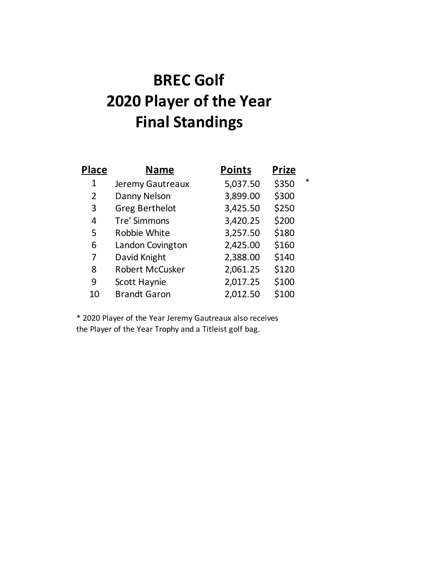## **BREC Golf 2020 Player of the Year Final Standings**

| <b>Place</b>   | <b>Name</b>            | <b>Points</b> | <b>Prize</b> |        |
|----------------|------------------------|---------------|--------------|--------|
| 1              | Jeremy Gautreaux       | 5,037.50      | \$350        | $\ast$ |
| $\overline{2}$ | Danny Nelson           | 3,899.00      | \$300        |        |
| 3              | <b>Greg Berthelot</b>  | 3,425.50      | \$250        |        |
| 4              | Tre' Simmons           | 3,420.25      | \$200        |        |
| 5              | Robbie White           | 3,257.50      | \$180        |        |
| 6              | Landon Covington       | 2,425.00      | \$160        |        |
| 7              | David Knight           | 2,388.00      | \$140        |        |
| 8              | <b>Robert McCusker</b> | 2,061.25      | \$120        |        |
| 9              | Scott Haynie           | 2,017.25      | \$100        |        |
| 10             | <b>Brandt Garon</b>    | 2,012.50      | \$100        |        |

\* 2020 Player of the Year Jeremy Gautreaux also receives the Player of the Year Trophy and a Titleist golf bag.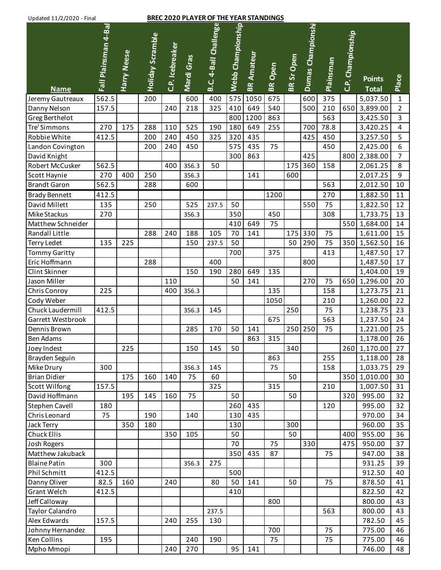## Updated 11/2/2020 - Final **BREC 2020 PLAYER OF THE YEAR STANDINGS**

| $O$ puatta $11/2/2020$ mia |                      |             |                         |                 |            |                       |                   |                   |                |                   |                   |           |                   |               |                |
|----------------------------|----------------------|-------------|-------------------------|-----------------|------------|-----------------------|-------------------|-------------------|----------------|-------------------|-------------------|-----------|-------------------|---------------|----------------|
|                            | Fall Plainsman 4-Bal |             |                         |                 |            | B.C. 4-Ball Challenge | Webb Championship |                   |                |                   | Dumas Championshi |           | C.P. Championship |               |                |
|                            |                      |             | <b>Holiday Scramble</b> |                 |            |                       |                   |                   |                |                   |                   |           |                   |               |                |
|                            |                      | Harry Neese |                         | C.P. Icebreaker |            |                       |                   | <b>BR Amateur</b> |                |                   |                   |           |                   |               |                |
|                            |                      |             |                         |                 |            |                       |                   |                   |                |                   |                   |           |                   |               |                |
|                            |                      |             |                         |                 | Mardi Gras |                       |                   |                   | <b>BR</b> Open | <b>BR Sr Open</b> |                   | Plainsman |                   | <b>Points</b> |                |
| <b>Name</b>                |                      |             |                         |                 |            |                       |                   |                   |                |                   |                   |           |                   | <b>Total</b>  | Place          |
| Jeremy Gautreaux           | 562.5                |             | 200                     |                 | 600        | 400                   | 575               | 1050              | 675            |                   | 600               | 375       |                   | 5,037.50      | $\mathbf{1}$   |
| Danny Nelson               | 157.5                |             |                         | 240             | 218        | 325                   | 410               | 649               | 540            |                   | 500               | 210       | 650               | 3,899.00      | $\overline{2}$ |
| Greg Berthelot             |                      |             |                         |                 |            |                       | 800               | 1200              | 863            |                   |                   | 563       |                   | 3,425.50      | $\overline{3}$ |
| Tre' Simmons               | 270                  | 175         | 288                     | 110             | 525        | 190                   | 180               | 649               | 255            |                   | 700               | 78.8      |                   | 3,420.25      | $\overline{4}$ |
| Robbie White               | 412.5                |             | 200                     | 240             | 450        | 325                   | 320               | 435               |                |                   | 425               | 450       |                   | 3,257.50      | 5              |
| Landon Covington           |                      |             | 200                     | 240             | 450        |                       | 575               | 435               | 75             |                   |                   | 450       |                   | 2,425.00      | 6              |
| David Knight               |                      |             |                         |                 |            |                       | 300               | 863               |                |                   | 425               |           | 800               | 2,388.00      | $\overline{7}$ |
| Robert McCusker            | 562.5                |             |                         | 400             | 356.3      | 50                    |                   |                   |                | 175               | 360               | 158       |                   | 2,061.25      | 8              |
| Scott Haynie               | 270                  | 400         | 250                     |                 | 356.3      |                       |                   | 141               |                | 600               |                   |           |                   | 2,017.25      | 9              |
| <b>Brandt Garon</b>        | 562.5                |             | 288                     |                 | 600        |                       |                   |                   |                |                   |                   | 563       |                   | 2,012.50      | 10             |
| <b>Brady Bennett</b>       | 412.5                |             |                         |                 |            |                       |                   |                   | 1200           |                   |                   | 270       |                   | 1,882.50      | 11             |
| David Millett              | 135                  |             | 250                     |                 | 525        | 237.5                 | 50                |                   |                |                   | 550               | 75        |                   | 1,822.50      | 12             |
| Mike Stackus               | 270                  |             |                         |                 | 356.3      |                       | 350               |                   | 450            |                   |                   | 308       |                   | 1,733.75      | 13             |
| Matthew Schneider          |                      |             |                         |                 |            |                       | 410               | 649               | 75             |                   |                   |           | 550               | 1,684.00      | 14             |
| Randall Little             |                      |             | 288                     | 240             | 188        | 105                   | 70                | 141               |                | 175               | 330               | 75        |                   | 1,611.00      | 15             |
| <b>Terry Ledet</b>         | 135                  | 225         |                         |                 | 150        | 237.5                 | 50                |                   |                | 50                | 290               | 75        | 350               | 1,562.50      | 16             |
| <b>Tommy Garitty</b>       |                      |             |                         |                 |            |                       | 700               |                   | 375            |                   |                   | 413       |                   | 1,487.50      | 17             |
| Eric Hoffmann              |                      |             | 288                     |                 |            | 400                   |                   |                   |                |                   | 800               |           |                   | 1,487.50      | 17             |
| Clint Skinner              |                      |             |                         |                 | 150        | 190                   | 280               | 649               | 135            |                   |                   |           |                   | 1,404.00      | 19             |
| Jason Miller               |                      |             |                         | 110             |            |                       | 50                | 141               |                |                   | 270               | 75        | 650               | 1,296.00      | 20             |
| Chris Conroy               | 225                  |             |                         | 400             | 356.3      |                       |                   |                   | 135            |                   |                   | 158       |                   | 1,273.75      | 21             |
| Cody Weber                 |                      |             |                         |                 |            |                       |                   |                   | 1050           |                   |                   | 210       |                   | 1,260.00      | 22             |
| Chuck Laudermill           | 412.5                |             |                         |                 | 356.3      | 145                   |                   |                   |                | 250               |                   | 75        |                   | 1,238.75      | 23             |
| Garrett Westbrook          |                      |             |                         |                 |            |                       |                   |                   | 675            |                   |                   | 563       |                   | 1,237.50      | 24             |
| Dennis Brown               |                      |             |                         |                 | 285        | 170                   | 50                | 141               |                | 250               | 250               | 75        |                   | 1,221.00      | 25             |
| <b>Ben Adams</b>           |                      |             |                         |                 |            |                       |                   | 863               | 315            |                   |                   |           |                   | 1,178.00      | 26             |
| Joey Indest                |                      | 225         |                         |                 | 150        | 145                   | 50                |                   |                | 340               |                   |           |                   | 260 1,170.00  | 27             |
| Brayden Seguin             |                      |             |                         |                 |            |                       |                   |                   | 863            |                   |                   | 255       |                   | 1,118.00      | 28             |
| Mike Drury                 | 300                  |             |                         |                 | 356.3      | 145                   |                   |                   | 75             |                   |                   | 158       |                   | 1,033.75      | 29             |
| <b>Brian Didier</b>        |                      | 175         | 160                     | 140             | 75         | 60                    |                   |                   |                | 50                |                   |           | 350               | 1,010.00      | 30             |
| <b>Scott Wilfong</b>       | 157.5                |             |                         |                 |            | 325                   |                   |                   | 315            |                   |                   | 210       |                   | 1,007.50      | 31             |
| David Hoffmann             |                      | 195         | 145                     | 160             | 75         |                       | 50                |                   |                | 50                |                   |           | 320               | 995.00        | 32             |
| Stephen Cavell             | 180                  |             |                         |                 |            |                       | 260               | 435               |                |                   |                   | 120       |                   | 995.00        | 32             |
| Chris Leonard              | 75                   |             | 190                     |                 | 140        |                       | 130               | 435               |                |                   |                   |           |                   | 970.00        | 34             |
| Jack Terry                 |                      | 350         | 180                     |                 |            |                       | 130               |                   |                | 300               |                   |           |                   | 960.00        | 35             |
| Chuck Ellis                |                      |             |                         | 350             | 105        |                       | 50                |                   |                | 50                |                   |           | 400               | 955.00        | 36             |
| Josh Rogers                |                      |             |                         |                 |            |                       | 70                |                   | 75             |                   | 330               |           | 475               | 950.00        | 37             |
| Matthew Jakuback           |                      |             |                         |                 |            |                       | 350               | 435               | 87             |                   |                   | 75        |                   | 947.00        | 38             |
| <b>Blaine Patin</b>        | 300                  |             |                         |                 | 356.3      | 275                   |                   |                   |                |                   |                   |           |                   | 931.25        | 39             |
| Phil Schmitt               | 412.5                |             |                         |                 |            |                       | 500               |                   |                |                   |                   |           |                   | 912.50        | 40             |
| Danny Oliver               | 82.5                 | 160         |                         | 240             |            | 80                    | 50                | 141               |                | 50                |                   | 75        |                   | 878.50        | 41             |
| Grant Welch                | 412.5                |             |                         |                 |            |                       | 410               |                   |                |                   |                   |           |                   | 822.50        | 42             |
| Jeff Calloway              |                      |             |                         |                 |            |                       |                   |                   | 800            |                   |                   |           |                   | 800.00        | 43             |
| <b>Taylor Calandro</b>     |                      |             |                         |                 |            | 237.5                 |                   |                   |                |                   |                   | 563       |                   | 800.00        | 43             |
| Alex Edwards               | 157.5                |             |                         | 240             | 255        | 130                   |                   |                   |                |                   |                   |           |                   | 782.50        | 45             |
| Johnny Hernandez           |                      |             |                         |                 |            |                       |                   |                   | 700            |                   |                   | 75        |                   | 775.00        | 46             |
| <b>Ken Collins</b>         | 195                  |             |                         |                 | 240        | 190                   |                   |                   | 75             |                   |                   | 75        |                   | 775.00        | 46             |
| Mpho Mmopi                 |                      |             |                         | 240             | 270        |                       | 95                | 141               |                |                   |                   |           |                   | 746.00        | 48             |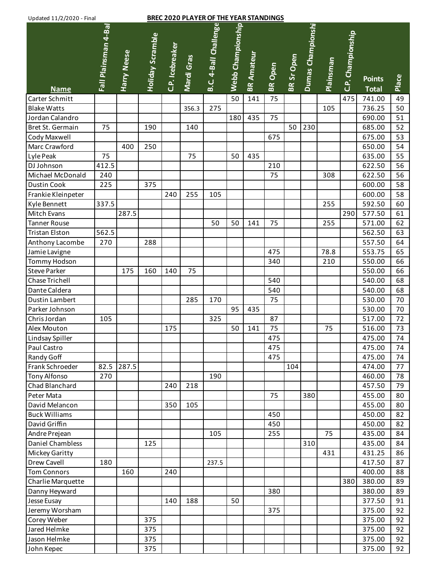| <b>BREC 2020 PLAYER OF THE YEAR STANDINGS</b><br>Updated 11/2/2020 - Final |                      |             |                  |                 |            |                       |                   |                   |                |                   |                   |           |                   |                               |       |
|----------------------------------------------------------------------------|----------------------|-------------|------------------|-----------------|------------|-----------------------|-------------------|-------------------|----------------|-------------------|-------------------|-----------|-------------------|-------------------------------|-------|
| <b>Name</b>                                                                | Fall Plainsman 4-Bal | Harry Neese | Holiday Scramble | C.P. Icebreaker | Mardi Gras | B.C. 4-Ball Challenge | Webb Championship | <b>BR Amateur</b> | <b>BR</b> Open | <b>BR Sr Open</b> | Dumas Championshi | Plainsman | C.P. Championship | <b>Points</b><br><b>Total</b> | Place |
| Carter Schmitt                                                             |                      |             |                  |                 |            |                       | 50                | 141               | 75             |                   |                   |           | 475               | 741.00                        | 49    |
| <b>Blake Watts</b>                                                         |                      |             |                  |                 | 356.3      | 275                   |                   |                   |                |                   |                   | 105       |                   | 736.25                        | 50    |
| Jordan Calandro                                                            |                      |             |                  |                 |            |                       | 180               | 435               | 75             |                   |                   |           |                   | 690.00                        | 51    |
| Bret St. Germain                                                           | 75                   |             | 190              |                 | 140        |                       |                   |                   |                | 50                | 230               |           |                   | 685.00                        | 52    |
| Cody Maxwell                                                               |                      |             |                  |                 |            |                       |                   |                   | 675            |                   |                   |           |                   | 675.00                        | 53    |
| Marc Crawford                                                              |                      | 400         | 250              |                 |            |                       |                   |                   |                |                   |                   |           |                   | 650.00                        | 54    |
| Lyle Peak                                                                  | 75                   |             |                  |                 | 75         |                       | 50                | 435               |                |                   |                   |           |                   | 635.00                        | 55    |
| DJ Johnson                                                                 | 412.5                |             |                  |                 |            |                       |                   |                   | 210            |                   |                   |           |                   | 622.50                        | 56    |
| Michael McDonald                                                           | 240                  |             |                  |                 |            |                       |                   |                   | 75             |                   |                   | 308       |                   | 622.50                        | 56    |
| <b>Dustin Cook</b>                                                         | 225                  |             | 375              |                 |            |                       |                   |                   |                |                   |                   |           |                   | 600.00                        | 58    |
| Frankie Kleinpeter                                                         |                      |             |                  | 240             | 255        | 105                   |                   |                   |                |                   |                   |           |                   | 600.00                        | 58    |
| Kyle Bennett                                                               | 337.5                |             |                  |                 |            |                       |                   |                   |                |                   |                   | 255       |                   | 592.50                        | 60    |
| Mitch Evans                                                                |                      | 287.5       |                  |                 |            |                       |                   |                   |                |                   |                   |           | 290               | 577.50                        | 61    |
| <b>Tanner Rouse</b>                                                        |                      |             |                  |                 |            | 50                    | 50                | 141               | 75             |                   |                   | 255       |                   | 571.00                        | 62    |
| Tristan Elston                                                             | 562.5                |             |                  |                 |            |                       |                   |                   |                |                   |                   |           |                   | 562.50                        | 63    |
| Anthony Lacombe                                                            | 270                  |             | 288              |                 |            |                       |                   |                   |                |                   |                   |           |                   | 557.50                        | 64    |
| Jamie Lavigne                                                              |                      |             |                  |                 |            |                       |                   |                   | 475            |                   |                   | 78.8      |                   | 553.75                        | 65    |
| Tommy Hodson                                                               |                      |             |                  |                 |            |                       |                   |                   | 340            |                   |                   | 210       |                   | 550.00                        | 66    |
| <b>Steve Parker</b>                                                        |                      | 175         | 160              | 140             | 75         |                       |                   |                   |                |                   |                   |           |                   | 550.00                        | 66    |
| Chase Trichell                                                             |                      |             |                  |                 |            |                       |                   |                   | 540            |                   |                   |           |                   | 540.00                        | 68    |
| Dante Caldera                                                              |                      |             |                  |                 |            |                       |                   |                   | 540            |                   |                   |           |                   | 540.00                        | 68    |
| Dustin Lambert                                                             |                      |             |                  |                 | 285        | 170                   |                   |                   | 75             |                   |                   |           |                   | 530.00                        | 70    |
| Parker Johnson                                                             |                      |             |                  |                 |            |                       | 95                | 435               |                |                   |                   |           |                   | 530.00                        | 70    |
| Chris Jordan                                                               | 105                  |             |                  |                 |            | 325                   |                   |                   | 87             |                   |                   |           |                   | 517.00                        | 72    |
| Alex Mouton                                                                |                      |             |                  | 175             |            |                       | 50                | 141               | 75             |                   |                   | 75        |                   | 516.00                        | 73    |
| Lindsay Spiller                                                            |                      |             |                  |                 |            |                       |                   |                   | 475            |                   |                   |           |                   | 475.00                        | 74    |
| Paul Castro                                                                |                      |             |                  |                 |            |                       |                   |                   | 475            |                   |                   |           |                   | 475.00                        | 74    |
| Randy Goff                                                                 |                      |             |                  |                 |            |                       |                   |                   | 475            |                   |                   |           |                   | 475.00                        | 74    |
| Frank Schroeder                                                            | 82.5                 | 287.5       |                  |                 |            |                       |                   |                   |                | 104               |                   |           |                   | 474.00                        | 77    |
| <b>Tony Alfonso</b>                                                        | 270                  |             |                  |                 |            | 190                   |                   |                   |                |                   |                   |           |                   | 460.00                        | 78    |
| Chad Blanchard                                                             |                      |             |                  | 240             | 218        |                       |                   |                   |                |                   |                   |           |                   | 457.50                        | 79    |
| Peter Mata                                                                 |                      |             |                  |                 |            |                       |                   |                   | 75             |                   | 380               |           |                   | 455.00                        | 80    |
| David Melancon                                                             |                      |             |                  | 350             | 105        |                       |                   |                   |                |                   |                   |           |                   | 455.00                        | 80    |
| <b>Buck Williams</b>                                                       |                      |             |                  |                 |            |                       |                   |                   | 450            |                   |                   |           |                   | 450.00                        | 82    |
| David Griffin                                                              |                      |             |                  |                 |            |                       |                   |                   | 450            |                   |                   |           |                   | 450.00                        | 82    |
| Andre Prejean                                                              |                      |             |                  |                 |            | 105                   |                   |                   | 255            |                   |                   | 75        |                   | 435.00                        | 84    |
| Daniel Chambless                                                           |                      |             | 125              |                 |            |                       |                   |                   |                |                   | 310               |           |                   | 435.00                        | 84    |
| Mickey Garitty                                                             |                      |             |                  |                 |            |                       |                   |                   |                |                   |                   | 431       |                   | 431.25                        | 86    |
| Drew Cavell                                                                | 180                  |             |                  |                 |            | 237.5                 |                   |                   |                |                   |                   |           |                   | 417.50                        | 87    |
| <b>Tom Connors</b>                                                         |                      | 160         |                  | 240             |            |                       |                   |                   |                |                   |                   |           |                   | 400.00                        | 88    |
| Charlie Marquette                                                          |                      |             |                  |                 |            |                       |                   |                   |                |                   |                   |           | 380               | 380.00                        | 89    |
| Danny Heyward                                                              |                      |             |                  |                 |            |                       |                   |                   | 380            |                   |                   |           |                   | 380.00                        | 89    |
| Jesse Eusay                                                                |                      |             |                  | 140             | 188        |                       | 50                |                   |                |                   |                   |           |                   | 377.50                        | 91    |
| Jeremy Worsham                                                             |                      |             |                  |                 |            |                       |                   |                   | 375            |                   |                   |           |                   | 375.00                        | 92    |
| Corey Weber                                                                |                      |             | 375              |                 |            |                       |                   |                   |                |                   |                   |           |                   | 375.00                        | 92    |
| Jared Helmke                                                               |                      |             | 375              |                 |            |                       |                   |                   |                |                   |                   |           |                   | 375.00                        | 92    |
| Jason Helmke                                                               |                      |             | 375              |                 |            |                       |                   |                   |                |                   |                   |           |                   | 375.00                        | 92    |
|                                                                            |                      |             |                  |                 |            |                       |                   |                   |                |                   |                   |           |                   |                               |       |

John Kepec | | | 375 | | | | | | | | | | | | | | 375.00 | 92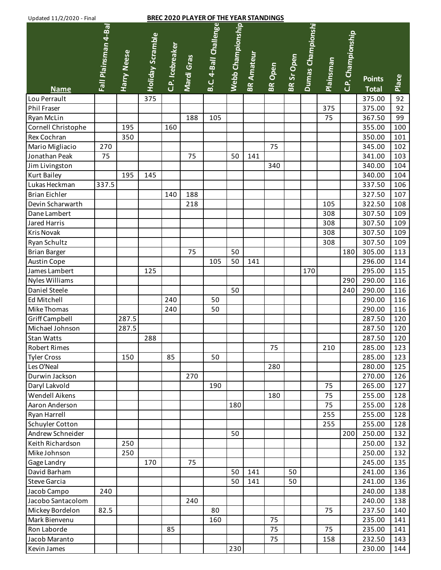| Updated 11/2/2020 - Final |                      |             |                         |                 |            | <b>BREC 2020 PLAYER OF THE YEAR STANDINGS</b> |                   |                   |                |            |                   |                  |                   |                               |       |
|---------------------------|----------------------|-------------|-------------------------|-----------------|------------|-----------------------------------------------|-------------------|-------------------|----------------|------------|-------------------|------------------|-------------------|-------------------------------|-------|
| <b>Name</b>               | Fall Plainsman 4-Bal | Harry Neese | <b>Holiday Scramble</b> | C.P. Icebreaker | Mardi Gras | B.C. 4-Ball Challenge                         | Webb Championship | <b>BR Amateur</b> | <b>BR</b> Open | BR Sr Open | Dumas Championshi | <b>Plainsman</b> | C.P. Championship | <b>Points</b><br><b>Total</b> | Place |
| Lou Perrault              |                      |             | 375                     |                 |            |                                               |                   |                   |                |            |                   |                  |                   | 375.00                        | 92    |
| Phil Fraser               |                      |             |                         |                 |            |                                               |                   |                   |                |            |                   | 375              |                   | 375.00                        | 92    |
| Ryan McLin                |                      |             |                         |                 | 188        | 105                                           |                   |                   |                |            |                   | 75               |                   | 367.50                        | 99    |
| Cornell Christophe        |                      | 195         |                         | 160             |            |                                               |                   |                   |                |            |                   |                  |                   | 355.00                        | 100   |
| Rex Cochran               |                      | 350         |                         |                 |            |                                               |                   |                   |                |            |                   |                  |                   | 350.00                        | 101   |
| Mario Migliacio           | 270                  |             |                         |                 |            |                                               |                   |                   | 75             |            |                   |                  |                   | 345.00                        | 102   |
| Jonathan Peak             | 75                   |             |                         |                 | 75         |                                               | 50                | 141               |                |            |                   |                  |                   | 341.00                        | 103   |
| Jim Livingston            |                      |             |                         |                 |            |                                               |                   |                   | 340            |            |                   |                  |                   | 340.00                        | 104   |
| <b>Kurt Bailey</b>        |                      | 195         | 145                     |                 |            |                                               |                   |                   |                |            |                   |                  |                   | 340.00                        | 104   |
| Lukas Heckman             | 337.5                |             |                         |                 |            |                                               |                   |                   |                |            |                   |                  |                   | 337.50                        | 106   |
| <b>Brian Eichler</b>      |                      |             |                         | 140             | 188        |                                               |                   |                   |                |            |                   |                  |                   | 327.50                        | 107   |
| Devin Scharwarth          |                      |             |                         |                 | 218        |                                               |                   |                   |                |            |                   | 105              |                   | 322.50                        | 108   |
| Dane Lambert              |                      |             |                         |                 |            |                                               |                   |                   |                |            |                   | 308              |                   | 307.50                        | 109   |
| Jared Harris              |                      |             |                         |                 |            |                                               |                   |                   |                |            |                   | 308              |                   | 307.50                        | 109   |
| <b>Kris Novak</b>         |                      |             |                         |                 |            |                                               |                   |                   |                |            |                   | 308              |                   | 307.50                        | 109   |
| Ryan Schultz              |                      |             |                         |                 |            |                                               |                   |                   |                |            |                   | 308              |                   | 307.50                        | 109   |
| <b>Brian Barger</b>       |                      |             |                         |                 | 75         |                                               | 50                |                   |                |            |                   |                  | 180               | 305.00                        | 113   |
| <b>Austin Cope</b>        |                      |             |                         |                 |            | 105                                           | 50                | 141               |                |            |                   |                  |                   | 296.00                        | 114   |
| James Lambert             |                      |             | 125                     |                 |            |                                               |                   |                   |                |            | 170               |                  |                   | 295.00                        | 115   |
| Nyles Williams            |                      |             |                         |                 |            |                                               |                   |                   |                |            |                   |                  | 290               | 290.00                        | 116   |
| Daniel Steele             |                      |             |                         |                 |            |                                               | 50                |                   |                |            |                   |                  | 240               | 290.00                        | 116   |
| Ed Mitchell               |                      |             |                         | 240             |            | 50                                            |                   |                   |                |            |                   |                  |                   | 290.00                        | 116   |
| Mike Thomas               |                      |             |                         | 240             |            | 50                                            |                   |                   |                |            |                   |                  |                   | 290.00                        | 116   |
| Griff Campbell            |                      | 287.5       |                         |                 |            |                                               |                   |                   |                |            |                   |                  |                   | 287.50                        | 120   |
| Michael Johnson           |                      | 287.5       |                         |                 |            |                                               |                   |                   |                |            |                   |                  |                   | 287.50                        | 120   |
| Stan Watts                |                      |             | 288                     |                 |            |                                               |                   |                   |                |            |                   |                  |                   | 287.50                        | 120   |
| Robert Rimes              |                      |             |                         |                 |            |                                               |                   |                   | 75             |            |                   | 210              |                   | 285.00                        | 123   |
| <b>Tyler Cross</b>        |                      | 150         |                         | 85              |            | 50                                            |                   |                   |                |            |                   |                  |                   | 285.00                        | 123   |
| Les O'Neal                |                      |             |                         |                 |            |                                               |                   |                   | 280            |            |                   |                  |                   | 280.00                        | 125   |
| Durwin Jackson            |                      |             |                         |                 | 270        |                                               |                   |                   |                |            |                   |                  |                   | 270.00                        | 126   |
| Daryl Lakvold             |                      |             |                         |                 |            | 190                                           |                   |                   |                |            |                   | 75               |                   | 265.00                        | 127   |
| Wendell Aikens            |                      |             |                         |                 |            |                                               |                   |                   | 180            |            |                   | 75               |                   | 255.00                        | 128   |
| Aaron Anderson            |                      |             |                         |                 |            |                                               | 180               |                   |                |            |                   | 75               |                   | 255.00                        | 128   |
| Ryan Harrell              |                      |             |                         |                 |            |                                               |                   |                   |                |            |                   | 255              |                   | 255.00                        | 128   |
| <b>Schuyler Cotton</b>    |                      |             |                         |                 |            |                                               |                   |                   |                |            |                   | 255              |                   | 255.00                        | 128   |
| Andrew Schneider          |                      |             |                         |                 |            |                                               | 50                |                   |                |            |                   |                  | 200               | 250.00                        | 132   |
| Keith Richardson          |                      | 250         |                         |                 |            |                                               |                   |                   |                |            |                   |                  |                   | 250.00                        | 132   |
| Mike Johnson              |                      | 250         |                         |                 |            |                                               |                   |                   |                |            |                   |                  |                   | 250.00                        | 132   |
| Gage Landry               |                      |             | 170                     |                 | 75         |                                               |                   |                   |                |            |                   |                  |                   | 245.00                        | 135   |
| David Barham              |                      |             |                         |                 |            |                                               | 50                | 141               |                | 50         |                   |                  |                   | 241.00                        | 136   |
| <b>Steve Garcia</b>       |                      |             |                         |                 |            |                                               | 50                | 141               |                | 50         |                   |                  |                   | 241.00                        | 136   |
| Jacob Campo               | 240                  |             |                         |                 |            |                                               |                   |                   |                |            |                   |                  |                   | 240.00                        | 138   |
| Jacobo Santacolom         |                      |             |                         |                 | 240        |                                               |                   |                   |                |            |                   |                  |                   | 240.00                        | 138   |
| Mickey Bordelon           | 82.5                 |             |                         |                 |            | 80                                            |                   |                   |                |            |                   | 75               |                   | 237.50                        | 140   |
| Mark Bienvenu             |                      |             |                         |                 |            | 160                                           |                   |                   | 75             |            |                   |                  |                   | 235.00                        | 141   |
| Ron Laborde               |                      |             |                         | 85              |            |                                               |                   |                   | 75             |            |                   | 75               |                   | 235.00                        | 141   |
| Jacob Maranto             |                      |             |                         |                 |            |                                               |                   |                   | 75             |            |                   | 158              |                   | 232.50                        | 143   |
|                           |                      |             |                         |                 |            |                                               |                   |                   |                |            |                   |                  |                   |                               |       |

Kevin James 230 230.00 144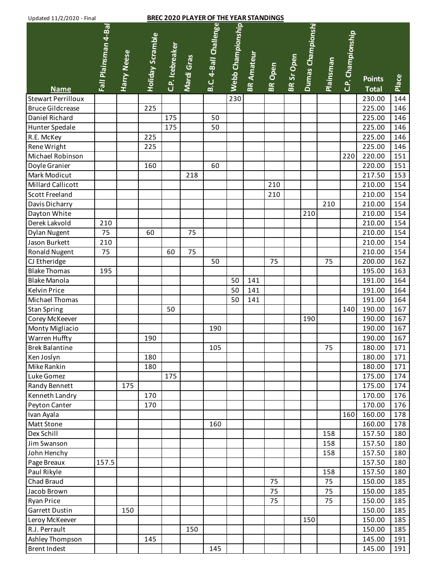## **BREC 2020 PLAYER OF THE YEAR STANDINGS**

| Opuated 11/2/2020 - Filidi |                      |                    |                         |                 |            | <u>BREC 2020 FLATER OF THE TEAR STANDINGS</u> |                   |                   |                |                   |                   |           |                   |               |       |
|----------------------------|----------------------|--------------------|-------------------------|-----------------|------------|-----------------------------------------------|-------------------|-------------------|----------------|-------------------|-------------------|-----------|-------------------|---------------|-------|
|                            | Fall Plainsman 4-Bal |                    | <b>Holiday Scramble</b> |                 |            | B.C. 4-Ball Challenge                         | Webb Championship |                   |                |                   | Dumas Championshi |           | C.P. Championship |               |       |
|                            |                      |                    |                         |                 |            |                                               |                   |                   |                |                   |                   |           |                   |               |       |
|                            |                      |                    |                         |                 |            |                                               |                   |                   |                |                   |                   |           |                   |               |       |
|                            |                      |                    |                         |                 |            |                                               |                   |                   |                |                   |                   |           |                   |               |       |
|                            |                      | <b>Harry Neese</b> |                         | C.P. Icebreaker | Mardi Gras |                                               |                   | <b>BR Amateur</b> | <b>BR</b> Open | <b>BR Sr Open</b> |                   | Plainsman |                   | <b>Points</b> | Place |
| <b>Name</b>                |                      |                    |                         |                 |            |                                               |                   |                   |                |                   |                   |           |                   | <b>Total</b>  |       |
| <b>Stewart Perrilloux</b>  |                      |                    |                         |                 |            |                                               | 230               |                   |                |                   |                   |           |                   | 230.00        | 144   |
| <b>Bruce Gildcrease</b>    |                      |                    | 225                     |                 |            |                                               |                   |                   |                |                   |                   |           |                   | 225.00        | 146   |
| Daniel Richard             |                      |                    |                         | 175             |            | 50                                            |                   |                   |                |                   |                   |           |                   | 225.00        | 146   |
| Hunter Spedale             |                      |                    |                         | 175             |            | 50                                            |                   |                   |                |                   |                   |           |                   | 225.00        | 146   |
| R.E. McKey                 |                      |                    | 225                     |                 |            |                                               |                   |                   |                |                   |                   |           |                   | 225.00        | 146   |
| Rene Wright                |                      |                    | 225                     |                 |            |                                               |                   |                   |                |                   |                   |           |                   | 225.00        | 146   |
| Michael Robinson           |                      |                    |                         |                 |            |                                               |                   |                   |                |                   |                   |           | 220               | 220.00        | 151   |
| Doyle Granier              |                      |                    | 160                     |                 |            | 60                                            |                   |                   |                |                   |                   |           |                   | 220.00        | 151   |
| Mark Modicut               |                      |                    |                         |                 | 218        |                                               |                   |                   |                |                   |                   |           |                   | 217.50        | 153   |
| <b>Millard Callicott</b>   |                      |                    |                         |                 |            |                                               |                   |                   | 210            |                   |                   |           |                   | 210.00        | 154   |
| Scott Freeland             |                      |                    |                         |                 |            |                                               |                   |                   | 210            |                   |                   |           |                   | 210.00        | 154   |
| Davis Dicharry             |                      |                    |                         |                 |            |                                               |                   |                   |                |                   |                   | 210       |                   | 210.00        | 154   |
| Dayton White               |                      |                    |                         |                 |            |                                               |                   |                   |                |                   | 210               |           |                   | 210.00        | 154   |
| Derek Lakvold              | 210                  |                    |                         |                 |            |                                               |                   |                   |                |                   |                   |           |                   | 210.00        | 154   |
| <b>Dylan Nugent</b>        | 75                   |                    | 60                      |                 | 75         |                                               |                   |                   |                |                   |                   |           |                   | 210.00        | 154   |
| Jason Burkett              | 210                  |                    |                         |                 |            |                                               |                   |                   |                |                   |                   |           |                   | 210.00        | 154   |
| <b>Ronald Nugent</b>       | 75                   |                    |                         | 60              | 75         |                                               |                   |                   |                |                   |                   |           |                   | 210.00        | 154   |
| CJ Etheridge               |                      |                    |                         |                 |            | 50                                            |                   |                   | 75             |                   |                   | 75        |                   | 200.00        | 162   |
| <b>Blake Thomas</b>        | 195                  |                    |                         |                 |            |                                               |                   |                   |                |                   |                   |           |                   | 195.00        | 163   |
| <b>Blake Manola</b>        |                      |                    |                         |                 |            |                                               | 50                | 141               |                |                   |                   |           |                   | 191.00        | 164   |
| <b>Kelvin Price</b>        |                      |                    |                         |                 |            |                                               | 50                | 141               |                |                   |                   |           |                   | 191.00        | 164   |
| Michael Thomas             |                      |                    |                         |                 |            |                                               | 50                | 141               |                |                   |                   |           |                   | 191.00        | 164   |
| <b>Stan Spring</b>         |                      |                    |                         | 50              |            |                                               |                   |                   |                |                   |                   |           | 140               | 190.00        | 167   |
| Corey McKeever             |                      |                    |                         |                 |            |                                               |                   |                   |                |                   | 190               |           |                   | 190.00        | 167   |
| Monty Migliacio            |                      |                    |                         |                 |            | 190                                           |                   |                   |                |                   |                   |           |                   | 190.00        | 167   |
| <b>Warren Huffty</b>       |                      |                    | 190                     |                 |            |                                               |                   |                   |                |                   |                   |           |                   | 190.00        | 167   |
| <b>Brek Balantine</b>      |                      |                    |                         |                 |            | 105                                           |                   |                   |                |                   |                   | 75        |                   | 180.00        | 171   |
| Ken Joslyn                 |                      |                    | 180                     |                 |            |                                               |                   |                   |                |                   |                   |           |                   | 180.00        | 171   |
| Mike Rankin                |                      |                    | 180                     |                 |            |                                               |                   |                   |                |                   |                   |           |                   | 180.00        | 171   |
| Luke Gomez                 |                      |                    |                         | 175             |            |                                               |                   |                   |                |                   |                   |           |                   | 175.00        | 174   |
| Randy Bennett              |                      | 175                |                         |                 |            |                                               |                   |                   |                |                   |                   |           |                   | 175.00        | 174   |
| Kenneth Landry             |                      |                    | 170                     |                 |            |                                               |                   |                   |                |                   |                   |           |                   | 170.00        | 176   |
| Peyton Canter              |                      |                    | 170                     |                 |            |                                               |                   |                   |                |                   |                   |           |                   | 170.00        | 176   |
| Ivan Ayala                 |                      |                    |                         |                 |            |                                               |                   |                   |                |                   |                   |           | 160               | 160.00        | 178   |
| <b>Matt Stone</b>          |                      |                    |                         |                 |            | 160                                           |                   |                   |                |                   |                   |           |                   | 160.00        | 178   |
| Dex Schill                 |                      |                    |                         |                 |            |                                               |                   |                   |                |                   |                   | 158       |                   | 157.50        | 180   |
| Jim Swanson                |                      |                    |                         |                 |            |                                               |                   |                   |                |                   |                   | 158       |                   | 157.50        | 180   |
| John Henchy                |                      |                    |                         |                 |            |                                               |                   |                   |                |                   |                   | 158       |                   | 157.50        | 180   |
| Page Breaux                | 157.5                |                    |                         |                 |            |                                               |                   |                   |                |                   |                   |           |                   | 157.50        | 180   |
| Paul Rikyle                |                      |                    |                         |                 |            |                                               |                   |                   |                |                   |                   | 158       |                   | 157.50        | 180   |
| Chad Braud                 |                      |                    |                         |                 |            |                                               |                   |                   | 75             |                   |                   | 75        |                   | 150.00        | 185   |
| Jacob Brown                |                      |                    |                         |                 |            |                                               |                   |                   | 75             |                   |                   | 75        |                   | 150.00        | 185   |
| <b>Ryan Price</b>          |                      |                    |                         |                 |            |                                               |                   |                   | 75             |                   |                   | 75        |                   | 150.00        | 185   |
| Garrett Dustin             |                      | 150                |                         |                 |            |                                               |                   |                   |                |                   |                   |           |                   | 150.00        | 185   |
| Leroy McKeever             |                      |                    |                         |                 |            |                                               |                   |                   |                |                   | 150               |           |                   | 150.00        | 185   |
| R.J. Perrault              |                      |                    |                         |                 | 150        |                                               |                   |                   |                |                   |                   |           |                   | 150.00        | 185   |
| Ashley Thompson            |                      |                    | 145                     |                 |            |                                               |                   |                   |                |                   |                   |           |                   | 145.00        | 191   |
| <b>Brent Indest</b>        |                      |                    |                         |                 |            | 145                                           |                   |                   |                |                   |                   |           |                   | 145.00        | 191   |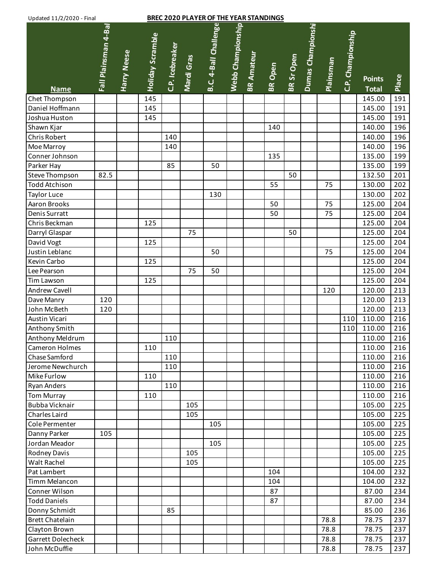## **BREC 2020 PLAYER OF THE YEAR STANDINGS**

| Opuated 11/2/2020 - Filidi       |                      |                    |                         |                 |            | <u>BINEC 2020 FEATER OF THE TEAR STANDINGS</u> |                   |                   |                |                   |                   |           |                   |                  |       |
|----------------------------------|----------------------|--------------------|-------------------------|-----------------|------------|------------------------------------------------|-------------------|-------------------|----------------|-------------------|-------------------|-----------|-------------------|------------------|-------|
|                                  |                      |                    |                         |                 |            |                                                |                   |                   |                |                   |                   |           |                   |                  |       |
|                                  |                      |                    |                         |                 |            |                                                |                   |                   |                |                   |                   |           |                   |                  |       |
|                                  |                      |                    |                         |                 |            |                                                |                   |                   |                |                   |                   |           |                   |                  |       |
|                                  |                      |                    |                         |                 |            |                                                |                   |                   |                |                   |                   |           |                   |                  |       |
|                                  |                      |                    |                         |                 |            |                                                |                   |                   |                |                   |                   |           |                   |                  |       |
|                                  | Fall Plainsman 4-Bal | <b>Harry Neese</b> | <b>Holiday Scramble</b> | C.P. Icebreaker | Mardi Gras | B.C. 4-Ball Challenge                          | Webb Championship | <b>BR Amateur</b> | <b>BR</b> Open | <b>BR Sr Open</b> | Dumas Championshi | Plainsman | C.P. Championship | <b>Points</b>    | Place |
| <b>Name</b>                      |                      |                    |                         |                 |            |                                                |                   |                   |                |                   |                   |           |                   | <b>Total</b>     | 191   |
| Chet Thompson<br>Daniel Hoffmann |                      |                    | 145<br>145              |                 |            |                                                |                   |                   |                |                   |                   |           |                   | 145.00<br>145.00 | 191   |
| Joshua Huston                    |                      |                    | 145                     |                 |            |                                                |                   |                   |                |                   |                   |           |                   | 145.00           | 191   |
| Shawn Kjar                       |                      |                    |                         |                 |            |                                                |                   |                   | 140            |                   |                   |           |                   | 140.00           | 196   |
| <b>Chris Robert</b>              |                      |                    |                         | 140             |            |                                                |                   |                   |                |                   |                   |           |                   | 140.00           | 196   |
| Moe Marroy                       |                      |                    |                         | 140             |            |                                                |                   |                   |                |                   |                   |           |                   | 140.00           | 196   |
| Conner Johnson                   |                      |                    |                         |                 |            |                                                |                   |                   | 135            |                   |                   |           |                   | 135.00           | 199   |
|                                  |                      |                    |                         | 85              |            | 50                                             |                   |                   |                |                   |                   |           |                   | 135.00           | 199   |
| Parker Hay<br>Steve Thompson     | 82.5                 |                    |                         |                 |            |                                                |                   |                   |                | 50                |                   |           |                   |                  |       |
|                                  |                      |                    |                         |                 |            |                                                |                   |                   |                |                   |                   |           |                   | 132.50           | 201   |
| <b>Todd Atchison</b>             |                      |                    |                         |                 |            | 130                                            |                   |                   | 55             |                   |                   | 75        |                   | 130.00           | 202   |
| <b>Taylor Luce</b>               |                      |                    |                         |                 |            |                                                |                   |                   |                |                   |                   | 75        |                   | 130.00           | 202   |
| Aaron Brooks                     |                      |                    |                         |                 |            |                                                |                   |                   | 50             |                   |                   |           |                   | 125.00           | 204   |
| Denis Surratt                    |                      |                    |                         |                 |            |                                                |                   |                   | 50             |                   |                   | 75        |                   | 125.00           | 204   |
| Chris Beckman                    |                      |                    | 125                     |                 |            |                                                |                   |                   |                |                   |                   |           |                   | 125.00           | 204   |
| Darryl Glaspar                   |                      |                    |                         |                 | 75         |                                                |                   |                   |                | 50                |                   |           |                   | 125.00           | 204   |
| David Vogt                       |                      |                    | 125                     |                 |            |                                                |                   |                   |                |                   |                   |           |                   | 125.00           | 204   |
| Justin Leblanc                   |                      |                    |                         |                 |            | 50                                             |                   |                   |                |                   |                   | 75        |                   | 125.00           | 204   |
| Kevin Carbo                      |                      |                    | 125                     |                 |            |                                                |                   |                   |                |                   |                   |           |                   | 125.00           | 204   |
| Lee Pearson                      |                      |                    |                         |                 | 75         | 50                                             |                   |                   |                |                   |                   |           |                   | 125.00           | 204   |
| Tim Lawson                       |                      |                    | 125                     |                 |            |                                                |                   |                   |                |                   |                   |           |                   | 125.00           | 204   |
| <b>Andrew Cavell</b>             |                      |                    |                         |                 |            |                                                |                   |                   |                |                   |                   | 120       |                   | 120.00           | 213   |
| Dave Manry                       | 120                  |                    |                         |                 |            |                                                |                   |                   |                |                   |                   |           |                   | 120.00           | 213   |
| John McBeth                      | 120                  |                    |                         |                 |            |                                                |                   |                   |                |                   |                   |           |                   | 120.00           | 213   |
| <b>Austin Vicari</b>             |                      |                    |                         |                 |            |                                                |                   |                   |                |                   |                   |           | 110               | 110.00           | 216   |
| Anthony Smith                    |                      |                    |                         |                 |            |                                                |                   |                   |                |                   |                   |           | 110               | 110.00           | 216   |
| Anthony Meldrum                  |                      |                    |                         | 110             |            |                                                |                   |                   |                |                   |                   |           |                   | 110.00           | 216   |
| Cameron Holmes                   |                      |                    | 110                     |                 |            |                                                |                   |                   |                |                   |                   |           |                   | 110.00           | 216   |
| Chase Samford                    |                      |                    |                         | 110             |            |                                                |                   |                   |                |                   |                   |           |                   | 110.00           | 216   |
| Jerome Newchurch                 |                      |                    |                         | 110             |            |                                                |                   |                   |                |                   |                   |           |                   | 110.00           | 216   |
| Mike Furlow                      |                      |                    | 110                     |                 |            |                                                |                   |                   |                |                   |                   |           |                   | 110.00           | 216   |
| <b>Ryan Anders</b>               |                      |                    |                         | 110             |            |                                                |                   |                   |                |                   |                   |           |                   | 110.00           | 216   |
| <b>Tom Murray</b>                |                      |                    | 110                     |                 |            |                                                |                   |                   |                |                   |                   |           |                   | 110.00           | 216   |
| Bubba Vicknair                   |                      |                    |                         |                 | 105        |                                                |                   |                   |                |                   |                   |           |                   | 105.00           | 225   |
| Charles Laird                    |                      |                    |                         |                 | 105        |                                                |                   |                   |                |                   |                   |           |                   | 105.00           | 225   |
| Cole Permenter                   |                      |                    |                         |                 |            | 105                                            |                   |                   |                |                   |                   |           |                   | 105.00           | 225   |
| Danny Parker                     | 105                  |                    |                         |                 |            |                                                |                   |                   |                |                   |                   |           |                   | 105.00           | 225   |
| Jordan Meador                    |                      |                    |                         |                 |            | 105                                            |                   |                   |                |                   |                   |           |                   | 105.00           | 225   |
| <b>Rodney Davis</b>              |                      |                    |                         |                 | 105        |                                                |                   |                   |                |                   |                   |           |                   | 105.00           | 225   |
| Walt Rachel                      |                      |                    |                         |                 | 105        |                                                |                   |                   |                |                   |                   |           |                   | 105.00           | 225   |
| Pat Lambert                      |                      |                    |                         |                 |            |                                                |                   |                   | 104            |                   |                   |           |                   | 104.00           | 232   |
| Timm Melancon                    |                      |                    |                         |                 |            |                                                |                   |                   | 104            |                   |                   |           |                   | 104.00           | 232   |
| Conner Wilson                    |                      |                    |                         |                 |            |                                                |                   |                   | 87             |                   |                   |           |                   | 87.00            | 234   |
| <b>Todd Daniels</b>              |                      |                    |                         |                 |            |                                                |                   |                   | 87             |                   |                   |           |                   | 87.00            | 234   |
| Donny Schmidt                    |                      |                    |                         | 85              |            |                                                |                   |                   |                |                   |                   |           |                   | 85.00            | 236   |
| <b>Brett Chatelain</b>           |                      |                    |                         |                 |            |                                                |                   |                   |                |                   |                   | 78.8      |                   | 78.75            | 237   |
| Clayton Brown                    |                      |                    |                         |                 |            |                                                |                   |                   |                |                   |                   | 78.8      |                   | 78.75            | 237   |
| <b>Garrett Dolecheck</b>         |                      |                    |                         |                 |            |                                                |                   |                   |                |                   |                   | 78.8      |                   | 78.75            | 237   |
| John McDuffie                    |                      |                    |                         |                 |            |                                                |                   |                   |                |                   |                   | 78.8      |                   | 78.75            | 237   |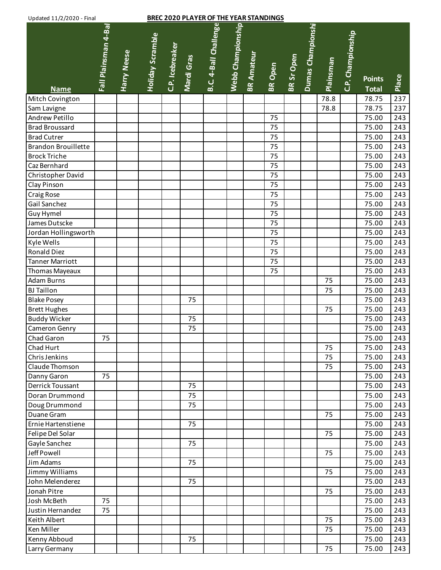| B.C. 4-Ball Challenge<br>Webb Championship<br>Dumas Championshi<br>Fall Plainsman 4-Bal<br>C.P. Championship<br><b>Holiday Scramble</b><br>C.P. Icebreaker<br>Harry Neese<br><b>BR Amateur</b><br>BR Sr Open<br>Mardi Gras<br>Plainsman<br><b>BR</b> Open<br>Place<br><b>Points</b><br><b>Total</b><br><b>Name</b><br>237<br>78.8<br>Mitch Covington<br>78.75<br>78.75<br>237<br>Sam Lavigne<br>78.8<br>Andrew Petillo<br>75<br>75.00<br>243<br><b>Brad Broussard</b><br>75<br>243<br>75.00<br>75<br>75.00<br>243<br><b>Brad Cutrer</b><br><b>Brandon Brouillette</b><br>75<br>243<br>75.00<br>75<br><b>Brock Triche</b><br>75.00<br>243<br>75<br>Caz Bernhard<br>75.00<br>243<br>Christopher David<br>75<br>75.00<br>243<br>75<br>75.00<br>243<br>Clay Pinson<br>75<br>75.00<br>243<br><b>Craig Rose</b><br>Gail Sanchez<br>75<br>75.00<br>243<br>75<br>243<br>Guy Hymel<br>75.00<br>75<br>James Dutscke<br>243<br>75.00<br>75<br>243<br>Jordan Hollingsworth<br>75.00<br>Kyle Wells<br>75<br>75.00<br>243<br><b>Ronald Diez</b><br>75<br>75.00<br>243<br><b>Tanner Marriott</b><br>75<br>75.00<br>243<br>75<br>75.00<br>243<br>Thomas Mayeaux<br>75<br>75.00<br><b>Adam Burns</b><br>243<br><b>BJ Taillon</b><br>75<br>75.00<br>243<br><b>Blake Posey</b><br>75.00<br>243<br>75<br><b>Brett Hughes</b><br>75.00<br>243<br>75<br><b>Buddy Wicker</b><br>75<br>75.00<br>243<br>75<br>Cameron Genry<br>75.00<br>243<br>243<br>Chad Garon<br>75<br>75.00<br>Chad Hurt<br>75<br>75.00<br>243<br>75<br>Chris Jenkins<br>75.00<br>243<br>75<br>Claude Thomson<br>75.00<br>243<br>75.00<br>Danny Garon<br>243<br>75<br>75<br>Derrick Toussant<br>75.00<br>243<br>75<br>75.00<br>Doran Drummond<br>243<br>Doug Drummond<br>75<br>75.00<br>243<br>75.00<br>Duane Gram<br>75<br>243<br>75.00<br>Ernie Hartenstiene<br>75<br>243<br>Felipe Del Solar<br>75<br>75.00<br>243<br>Gayle Sanchez<br>75<br>75.00<br>243<br>Jeff Powell<br>75<br>75.00<br>243<br>Jim Adams<br>75<br>75.00<br>243<br>Jimmy Williams<br>75<br>75.00<br>243<br>John Melenderez<br>75<br>75.00<br>243<br>Jonah Pitre<br>75<br>75.00<br>243<br>75<br>Josh McBeth<br>75.00<br>243<br>Justin Hernandez<br>75<br>75.00<br>243<br>Keith Albert<br>75<br>75.00<br>243<br>Ken Miller<br>75.00<br>75<br>243<br>Kenny Abboud<br>75<br>75.00<br>243 | Updated 11/2/2020 - Final |  |  | <b>BREC 2020 PLAYER OF THE YEAR STANDINGS</b> |  |  |    |       |     |
|------------------------------------------------------------------------------------------------------------------------------------------------------------------------------------------------------------------------------------------------------------------------------------------------------------------------------------------------------------------------------------------------------------------------------------------------------------------------------------------------------------------------------------------------------------------------------------------------------------------------------------------------------------------------------------------------------------------------------------------------------------------------------------------------------------------------------------------------------------------------------------------------------------------------------------------------------------------------------------------------------------------------------------------------------------------------------------------------------------------------------------------------------------------------------------------------------------------------------------------------------------------------------------------------------------------------------------------------------------------------------------------------------------------------------------------------------------------------------------------------------------------------------------------------------------------------------------------------------------------------------------------------------------------------------------------------------------------------------------------------------------------------------------------------------------------------------------------------------------------------------------------------------------------------------------------------------------------------------------------------------------------------------------------------------------------------------------------------------------------------------------------------------------------------------------------------------------------------------------------------------------------------------------------------------|---------------------------|--|--|-----------------------------------------------|--|--|----|-------|-----|
|                                                                                                                                                                                                                                                                                                                                                                                                                                                                                                                                                                                                                                                                                                                                                                                                                                                                                                                                                                                                                                                                                                                                                                                                                                                                                                                                                                                                                                                                                                                                                                                                                                                                                                                                                                                                                                                                                                                                                                                                                                                                                                                                                                                                                                                                                                      |                           |  |  |                                               |  |  |    |       |     |
|                                                                                                                                                                                                                                                                                                                                                                                                                                                                                                                                                                                                                                                                                                                                                                                                                                                                                                                                                                                                                                                                                                                                                                                                                                                                                                                                                                                                                                                                                                                                                                                                                                                                                                                                                                                                                                                                                                                                                                                                                                                                                                                                                                                                                                                                                                      |                           |  |  |                                               |  |  |    |       |     |
|                                                                                                                                                                                                                                                                                                                                                                                                                                                                                                                                                                                                                                                                                                                                                                                                                                                                                                                                                                                                                                                                                                                                                                                                                                                                                                                                                                                                                                                                                                                                                                                                                                                                                                                                                                                                                                                                                                                                                                                                                                                                                                                                                                                                                                                                                                      |                           |  |  |                                               |  |  |    |       |     |
|                                                                                                                                                                                                                                                                                                                                                                                                                                                                                                                                                                                                                                                                                                                                                                                                                                                                                                                                                                                                                                                                                                                                                                                                                                                                                                                                                                                                                                                                                                                                                                                                                                                                                                                                                                                                                                                                                                                                                                                                                                                                                                                                                                                                                                                                                                      |                           |  |  |                                               |  |  |    |       |     |
|                                                                                                                                                                                                                                                                                                                                                                                                                                                                                                                                                                                                                                                                                                                                                                                                                                                                                                                                                                                                                                                                                                                                                                                                                                                                                                                                                                                                                                                                                                                                                                                                                                                                                                                                                                                                                                                                                                                                                                                                                                                                                                                                                                                                                                                                                                      |                           |  |  |                                               |  |  |    |       |     |
|                                                                                                                                                                                                                                                                                                                                                                                                                                                                                                                                                                                                                                                                                                                                                                                                                                                                                                                                                                                                                                                                                                                                                                                                                                                                                                                                                                                                                                                                                                                                                                                                                                                                                                                                                                                                                                                                                                                                                                                                                                                                                                                                                                                                                                                                                                      |                           |  |  |                                               |  |  |    |       |     |
|                                                                                                                                                                                                                                                                                                                                                                                                                                                                                                                                                                                                                                                                                                                                                                                                                                                                                                                                                                                                                                                                                                                                                                                                                                                                                                                                                                                                                                                                                                                                                                                                                                                                                                                                                                                                                                                                                                                                                                                                                                                                                                                                                                                                                                                                                                      |                           |  |  |                                               |  |  |    |       |     |
|                                                                                                                                                                                                                                                                                                                                                                                                                                                                                                                                                                                                                                                                                                                                                                                                                                                                                                                                                                                                                                                                                                                                                                                                                                                                                                                                                                                                                                                                                                                                                                                                                                                                                                                                                                                                                                                                                                                                                                                                                                                                                                                                                                                                                                                                                                      |                           |  |  |                                               |  |  |    |       |     |
|                                                                                                                                                                                                                                                                                                                                                                                                                                                                                                                                                                                                                                                                                                                                                                                                                                                                                                                                                                                                                                                                                                                                                                                                                                                                                                                                                                                                                                                                                                                                                                                                                                                                                                                                                                                                                                                                                                                                                                                                                                                                                                                                                                                                                                                                                                      |                           |  |  |                                               |  |  |    |       |     |
|                                                                                                                                                                                                                                                                                                                                                                                                                                                                                                                                                                                                                                                                                                                                                                                                                                                                                                                                                                                                                                                                                                                                                                                                                                                                                                                                                                                                                                                                                                                                                                                                                                                                                                                                                                                                                                                                                                                                                                                                                                                                                                                                                                                                                                                                                                      |                           |  |  |                                               |  |  |    |       |     |
|                                                                                                                                                                                                                                                                                                                                                                                                                                                                                                                                                                                                                                                                                                                                                                                                                                                                                                                                                                                                                                                                                                                                                                                                                                                                                                                                                                                                                                                                                                                                                                                                                                                                                                                                                                                                                                                                                                                                                                                                                                                                                                                                                                                                                                                                                                      |                           |  |  |                                               |  |  |    |       |     |
|                                                                                                                                                                                                                                                                                                                                                                                                                                                                                                                                                                                                                                                                                                                                                                                                                                                                                                                                                                                                                                                                                                                                                                                                                                                                                                                                                                                                                                                                                                                                                                                                                                                                                                                                                                                                                                                                                                                                                                                                                                                                                                                                                                                                                                                                                                      |                           |  |  |                                               |  |  |    |       |     |
|                                                                                                                                                                                                                                                                                                                                                                                                                                                                                                                                                                                                                                                                                                                                                                                                                                                                                                                                                                                                                                                                                                                                                                                                                                                                                                                                                                                                                                                                                                                                                                                                                                                                                                                                                                                                                                                                                                                                                                                                                                                                                                                                                                                                                                                                                                      |                           |  |  |                                               |  |  |    |       |     |
|                                                                                                                                                                                                                                                                                                                                                                                                                                                                                                                                                                                                                                                                                                                                                                                                                                                                                                                                                                                                                                                                                                                                                                                                                                                                                                                                                                                                                                                                                                                                                                                                                                                                                                                                                                                                                                                                                                                                                                                                                                                                                                                                                                                                                                                                                                      |                           |  |  |                                               |  |  |    |       |     |
|                                                                                                                                                                                                                                                                                                                                                                                                                                                                                                                                                                                                                                                                                                                                                                                                                                                                                                                                                                                                                                                                                                                                                                                                                                                                                                                                                                                                                                                                                                                                                                                                                                                                                                                                                                                                                                                                                                                                                                                                                                                                                                                                                                                                                                                                                                      |                           |  |  |                                               |  |  |    |       |     |
|                                                                                                                                                                                                                                                                                                                                                                                                                                                                                                                                                                                                                                                                                                                                                                                                                                                                                                                                                                                                                                                                                                                                                                                                                                                                                                                                                                                                                                                                                                                                                                                                                                                                                                                                                                                                                                                                                                                                                                                                                                                                                                                                                                                                                                                                                                      |                           |  |  |                                               |  |  |    |       |     |
|                                                                                                                                                                                                                                                                                                                                                                                                                                                                                                                                                                                                                                                                                                                                                                                                                                                                                                                                                                                                                                                                                                                                                                                                                                                                                                                                                                                                                                                                                                                                                                                                                                                                                                                                                                                                                                                                                                                                                                                                                                                                                                                                                                                                                                                                                                      |                           |  |  |                                               |  |  |    |       |     |
|                                                                                                                                                                                                                                                                                                                                                                                                                                                                                                                                                                                                                                                                                                                                                                                                                                                                                                                                                                                                                                                                                                                                                                                                                                                                                                                                                                                                                                                                                                                                                                                                                                                                                                                                                                                                                                                                                                                                                                                                                                                                                                                                                                                                                                                                                                      |                           |  |  |                                               |  |  |    |       |     |
|                                                                                                                                                                                                                                                                                                                                                                                                                                                                                                                                                                                                                                                                                                                                                                                                                                                                                                                                                                                                                                                                                                                                                                                                                                                                                                                                                                                                                                                                                                                                                                                                                                                                                                                                                                                                                                                                                                                                                                                                                                                                                                                                                                                                                                                                                                      |                           |  |  |                                               |  |  |    |       |     |
|                                                                                                                                                                                                                                                                                                                                                                                                                                                                                                                                                                                                                                                                                                                                                                                                                                                                                                                                                                                                                                                                                                                                                                                                                                                                                                                                                                                                                                                                                                                                                                                                                                                                                                                                                                                                                                                                                                                                                                                                                                                                                                                                                                                                                                                                                                      |                           |  |  |                                               |  |  |    |       |     |
|                                                                                                                                                                                                                                                                                                                                                                                                                                                                                                                                                                                                                                                                                                                                                                                                                                                                                                                                                                                                                                                                                                                                                                                                                                                                                                                                                                                                                                                                                                                                                                                                                                                                                                                                                                                                                                                                                                                                                                                                                                                                                                                                                                                                                                                                                                      |                           |  |  |                                               |  |  |    |       |     |
|                                                                                                                                                                                                                                                                                                                                                                                                                                                                                                                                                                                                                                                                                                                                                                                                                                                                                                                                                                                                                                                                                                                                                                                                                                                                                                                                                                                                                                                                                                                                                                                                                                                                                                                                                                                                                                                                                                                                                                                                                                                                                                                                                                                                                                                                                                      |                           |  |  |                                               |  |  |    |       |     |
|                                                                                                                                                                                                                                                                                                                                                                                                                                                                                                                                                                                                                                                                                                                                                                                                                                                                                                                                                                                                                                                                                                                                                                                                                                                                                                                                                                                                                                                                                                                                                                                                                                                                                                                                                                                                                                                                                                                                                                                                                                                                                                                                                                                                                                                                                                      |                           |  |  |                                               |  |  |    |       |     |
|                                                                                                                                                                                                                                                                                                                                                                                                                                                                                                                                                                                                                                                                                                                                                                                                                                                                                                                                                                                                                                                                                                                                                                                                                                                                                                                                                                                                                                                                                                                                                                                                                                                                                                                                                                                                                                                                                                                                                                                                                                                                                                                                                                                                                                                                                                      |                           |  |  |                                               |  |  |    |       |     |
|                                                                                                                                                                                                                                                                                                                                                                                                                                                                                                                                                                                                                                                                                                                                                                                                                                                                                                                                                                                                                                                                                                                                                                                                                                                                                                                                                                                                                                                                                                                                                                                                                                                                                                                                                                                                                                                                                                                                                                                                                                                                                                                                                                                                                                                                                                      |                           |  |  |                                               |  |  |    |       |     |
|                                                                                                                                                                                                                                                                                                                                                                                                                                                                                                                                                                                                                                                                                                                                                                                                                                                                                                                                                                                                                                                                                                                                                                                                                                                                                                                                                                                                                                                                                                                                                                                                                                                                                                                                                                                                                                                                                                                                                                                                                                                                                                                                                                                                                                                                                                      |                           |  |  |                                               |  |  |    |       |     |
|                                                                                                                                                                                                                                                                                                                                                                                                                                                                                                                                                                                                                                                                                                                                                                                                                                                                                                                                                                                                                                                                                                                                                                                                                                                                                                                                                                                                                                                                                                                                                                                                                                                                                                                                                                                                                                                                                                                                                                                                                                                                                                                                                                                                                                                                                                      |                           |  |  |                                               |  |  |    |       |     |
|                                                                                                                                                                                                                                                                                                                                                                                                                                                                                                                                                                                                                                                                                                                                                                                                                                                                                                                                                                                                                                                                                                                                                                                                                                                                                                                                                                                                                                                                                                                                                                                                                                                                                                                                                                                                                                                                                                                                                                                                                                                                                                                                                                                                                                                                                                      |                           |  |  |                                               |  |  |    |       |     |
|                                                                                                                                                                                                                                                                                                                                                                                                                                                                                                                                                                                                                                                                                                                                                                                                                                                                                                                                                                                                                                                                                                                                                                                                                                                                                                                                                                                                                                                                                                                                                                                                                                                                                                                                                                                                                                                                                                                                                                                                                                                                                                                                                                                                                                                                                                      |                           |  |  |                                               |  |  |    |       |     |
|                                                                                                                                                                                                                                                                                                                                                                                                                                                                                                                                                                                                                                                                                                                                                                                                                                                                                                                                                                                                                                                                                                                                                                                                                                                                                                                                                                                                                                                                                                                                                                                                                                                                                                                                                                                                                                                                                                                                                                                                                                                                                                                                                                                                                                                                                                      |                           |  |  |                                               |  |  |    |       |     |
|                                                                                                                                                                                                                                                                                                                                                                                                                                                                                                                                                                                                                                                                                                                                                                                                                                                                                                                                                                                                                                                                                                                                                                                                                                                                                                                                                                                                                                                                                                                                                                                                                                                                                                                                                                                                                                                                                                                                                                                                                                                                                                                                                                                                                                                                                                      |                           |  |  |                                               |  |  |    |       |     |
|                                                                                                                                                                                                                                                                                                                                                                                                                                                                                                                                                                                                                                                                                                                                                                                                                                                                                                                                                                                                                                                                                                                                                                                                                                                                                                                                                                                                                                                                                                                                                                                                                                                                                                                                                                                                                                                                                                                                                                                                                                                                                                                                                                                                                                                                                                      |                           |  |  |                                               |  |  |    |       |     |
|                                                                                                                                                                                                                                                                                                                                                                                                                                                                                                                                                                                                                                                                                                                                                                                                                                                                                                                                                                                                                                                                                                                                                                                                                                                                                                                                                                                                                                                                                                                                                                                                                                                                                                                                                                                                                                                                                                                                                                                                                                                                                                                                                                                                                                                                                                      |                           |  |  |                                               |  |  |    |       |     |
|                                                                                                                                                                                                                                                                                                                                                                                                                                                                                                                                                                                                                                                                                                                                                                                                                                                                                                                                                                                                                                                                                                                                                                                                                                                                                                                                                                                                                                                                                                                                                                                                                                                                                                                                                                                                                                                                                                                                                                                                                                                                                                                                                                                                                                                                                                      |                           |  |  |                                               |  |  |    |       |     |
|                                                                                                                                                                                                                                                                                                                                                                                                                                                                                                                                                                                                                                                                                                                                                                                                                                                                                                                                                                                                                                                                                                                                                                                                                                                                                                                                                                                                                                                                                                                                                                                                                                                                                                                                                                                                                                                                                                                                                                                                                                                                                                                                                                                                                                                                                                      |                           |  |  |                                               |  |  |    |       |     |
|                                                                                                                                                                                                                                                                                                                                                                                                                                                                                                                                                                                                                                                                                                                                                                                                                                                                                                                                                                                                                                                                                                                                                                                                                                                                                                                                                                                                                                                                                                                                                                                                                                                                                                                                                                                                                                                                                                                                                                                                                                                                                                                                                                                                                                                                                                      |                           |  |  |                                               |  |  |    |       |     |
|                                                                                                                                                                                                                                                                                                                                                                                                                                                                                                                                                                                                                                                                                                                                                                                                                                                                                                                                                                                                                                                                                                                                                                                                                                                                                                                                                                                                                                                                                                                                                                                                                                                                                                                                                                                                                                                                                                                                                                                                                                                                                                                                                                                                                                                                                                      |                           |  |  |                                               |  |  |    |       |     |
|                                                                                                                                                                                                                                                                                                                                                                                                                                                                                                                                                                                                                                                                                                                                                                                                                                                                                                                                                                                                                                                                                                                                                                                                                                                                                                                                                                                                                                                                                                                                                                                                                                                                                                                                                                                                                                                                                                                                                                                                                                                                                                                                                                                                                                                                                                      |                           |  |  |                                               |  |  |    |       |     |
|                                                                                                                                                                                                                                                                                                                                                                                                                                                                                                                                                                                                                                                                                                                                                                                                                                                                                                                                                                                                                                                                                                                                                                                                                                                                                                                                                                                                                                                                                                                                                                                                                                                                                                                                                                                                                                                                                                                                                                                                                                                                                                                                                                                                                                                                                                      |                           |  |  |                                               |  |  |    |       |     |
|                                                                                                                                                                                                                                                                                                                                                                                                                                                                                                                                                                                                                                                                                                                                                                                                                                                                                                                                                                                                                                                                                                                                                                                                                                                                                                                                                                                                                                                                                                                                                                                                                                                                                                                                                                                                                                                                                                                                                                                                                                                                                                                                                                                                                                                                                                      |                           |  |  |                                               |  |  |    |       |     |
|                                                                                                                                                                                                                                                                                                                                                                                                                                                                                                                                                                                                                                                                                                                                                                                                                                                                                                                                                                                                                                                                                                                                                                                                                                                                                                                                                                                                                                                                                                                                                                                                                                                                                                                                                                                                                                                                                                                                                                                                                                                                                                                                                                                                                                                                                                      |                           |  |  |                                               |  |  |    |       |     |
|                                                                                                                                                                                                                                                                                                                                                                                                                                                                                                                                                                                                                                                                                                                                                                                                                                                                                                                                                                                                                                                                                                                                                                                                                                                                                                                                                                                                                                                                                                                                                                                                                                                                                                                                                                                                                                                                                                                                                                                                                                                                                                                                                                                                                                                                                                      |                           |  |  |                                               |  |  |    |       |     |
|                                                                                                                                                                                                                                                                                                                                                                                                                                                                                                                                                                                                                                                                                                                                                                                                                                                                                                                                                                                                                                                                                                                                                                                                                                                                                                                                                                                                                                                                                                                                                                                                                                                                                                                                                                                                                                                                                                                                                                                                                                                                                                                                                                                                                                                                                                      |                           |  |  |                                               |  |  |    |       |     |
|                                                                                                                                                                                                                                                                                                                                                                                                                                                                                                                                                                                                                                                                                                                                                                                                                                                                                                                                                                                                                                                                                                                                                                                                                                                                                                                                                                                                                                                                                                                                                                                                                                                                                                                                                                                                                                                                                                                                                                                                                                                                                                                                                                                                                                                                                                      |                           |  |  |                                               |  |  |    |       |     |
|                                                                                                                                                                                                                                                                                                                                                                                                                                                                                                                                                                                                                                                                                                                                                                                                                                                                                                                                                                                                                                                                                                                                                                                                                                                                                                                                                                                                                                                                                                                                                                                                                                                                                                                                                                                                                                                                                                                                                                                                                                                                                                                                                                                                                                                                                                      |                           |  |  |                                               |  |  |    |       |     |
|                                                                                                                                                                                                                                                                                                                                                                                                                                                                                                                                                                                                                                                                                                                                                                                                                                                                                                                                                                                                                                                                                                                                                                                                                                                                                                                                                                                                                                                                                                                                                                                                                                                                                                                                                                                                                                                                                                                                                                                                                                                                                                                                                                                                                                                                                                      |                           |  |  |                                               |  |  |    |       |     |
|                                                                                                                                                                                                                                                                                                                                                                                                                                                                                                                                                                                                                                                                                                                                                                                                                                                                                                                                                                                                                                                                                                                                                                                                                                                                                                                                                                                                                                                                                                                                                                                                                                                                                                                                                                                                                                                                                                                                                                                                                                                                                                                                                                                                                                                                                                      |                           |  |  |                                               |  |  |    |       |     |
|                                                                                                                                                                                                                                                                                                                                                                                                                                                                                                                                                                                                                                                                                                                                                                                                                                                                                                                                                                                                                                                                                                                                                                                                                                                                                                                                                                                                                                                                                                                                                                                                                                                                                                                                                                                                                                                                                                                                                                                                                                                                                                                                                                                                                                                                                                      |                           |  |  |                                               |  |  |    |       |     |
|                                                                                                                                                                                                                                                                                                                                                                                                                                                                                                                                                                                                                                                                                                                                                                                                                                                                                                                                                                                                                                                                                                                                                                                                                                                                                                                                                                                                                                                                                                                                                                                                                                                                                                                                                                                                                                                                                                                                                                                                                                                                                                                                                                                                                                                                                                      | Larry Germany             |  |  |                                               |  |  | 75 | 75.00 | 243 |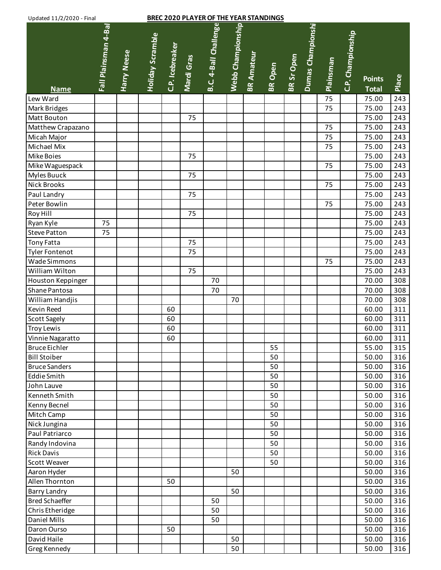| Updated 11/2/2020 - Final |                      |             |                         |                 |            | <b>BREC 2020 PLAYER OF THE YEAR STANDINGS</b> |                   |                   |                |            |                   |                  |                   |                               |       |
|---------------------------|----------------------|-------------|-------------------------|-----------------|------------|-----------------------------------------------|-------------------|-------------------|----------------|------------|-------------------|------------------|-------------------|-------------------------------|-------|
| <b>Name</b>               | Fall Plainsman 4-Bal | Harry Neese | <b>Holiday Scramble</b> | C.P. Icebreaker | Mardi Gras | B.C. 4-Ball Challenge                         | Webb Championship | <b>BR Amateur</b> | <b>BR</b> Open | BR Sr Open | Dumas Championshi | <b>Plainsman</b> | C.P. Championship | <b>Points</b><br><b>Total</b> | Place |
| Lew Ward                  |                      |             |                         |                 |            |                                               |                   |                   |                |            |                   | 75               |                   | 75.00                         | 243   |
| Mark Bridges              |                      |             |                         |                 |            |                                               |                   |                   |                |            |                   | 75               |                   | 75.00                         | 243   |
| Matt Bouton               |                      |             |                         |                 | 75         |                                               |                   |                   |                |            |                   |                  |                   | 75.00                         | 243   |
| Matthew Crapazano         |                      |             |                         |                 |            |                                               |                   |                   |                |            |                   | 75               |                   | 75.00                         | 243   |
| Micah Major               |                      |             |                         |                 |            |                                               |                   |                   |                |            |                   | 75               |                   | 75.00                         | 243   |
| Michael Mix               |                      |             |                         |                 |            |                                               |                   |                   |                |            |                   | 75               |                   | 75.00                         | 243   |
| Mike Boies                |                      |             |                         |                 | 75         |                                               |                   |                   |                |            |                   |                  |                   | 75.00                         | 243   |
| Mike Waguespack           |                      |             |                         |                 |            |                                               |                   |                   |                |            |                   | 75               |                   | 75.00                         | 243   |
| Myles Buuck               |                      |             |                         |                 | 75         |                                               |                   |                   |                |            |                   |                  |                   | 75.00                         | 243   |
| <b>Nick Brooks</b>        |                      |             |                         |                 |            |                                               |                   |                   |                |            |                   | 75               |                   | 75.00                         | 243   |
| Paul Landry               |                      |             |                         |                 | 75         |                                               |                   |                   |                |            |                   |                  |                   | 75.00                         | 243   |
| Peter Bowlin              |                      |             |                         |                 |            |                                               |                   |                   |                |            |                   | 75               |                   | 75.00                         | 243   |
| Roy Hill                  |                      |             |                         |                 | 75         |                                               |                   |                   |                |            |                   |                  |                   | 75.00                         | 243   |
| Ryan Kyle                 | 75                   |             |                         |                 |            |                                               |                   |                   |                |            |                   |                  |                   | 75.00                         | 243   |
| <b>Steve Patton</b>       | 75                   |             |                         |                 |            |                                               |                   |                   |                |            |                   |                  |                   | 75.00                         | 243   |
| Tony Fatta                |                      |             |                         |                 | 75         |                                               |                   |                   |                |            |                   |                  |                   | 75.00                         | 243   |
| <b>Tyler Fontenot</b>     |                      |             |                         |                 | 75         |                                               |                   |                   |                |            |                   |                  |                   | 75.00                         | 243   |
| Wade Simmons              |                      |             |                         |                 |            |                                               |                   |                   |                |            |                   | 75               |                   | 75.00                         | 243   |
| William Wilton            |                      |             |                         |                 | 75         |                                               |                   |                   |                |            |                   |                  |                   | 75.00                         | 243   |
| Houston Keppinger         |                      |             |                         |                 |            | 70                                            |                   |                   |                |            |                   |                  |                   | 70.00                         | 308   |
| Shane Pantosa             |                      |             |                         |                 |            | 70                                            |                   |                   |                |            |                   |                  |                   | 70.00                         | 308   |
| William Handjis           |                      |             |                         |                 |            |                                               | 70                |                   |                |            |                   |                  |                   | 70.00                         | 308   |
| Kevin Reed                |                      |             |                         | 60              |            |                                               |                   |                   |                |            |                   |                  |                   | 60.00                         | 311   |
| Scott Sagely              |                      |             |                         | 60              |            |                                               |                   |                   |                |            |                   |                  |                   | 60.00                         | 311   |
| <b>Troy Lewis</b>         |                      |             |                         | 60              |            |                                               |                   |                   |                |            |                   |                  |                   | 60.00                         | 311   |
| Vinnie Nagaratto          |                      |             |                         | 60              |            |                                               |                   |                   |                |            |                   |                  |                   | 60.00                         | 311   |
| <b>Bruce Eichler</b>      |                      |             |                         |                 |            |                                               |                   |                   | 55             |            |                   |                  |                   | 55.00                         | 315   |
| <b>Bill Stoiber</b>       |                      |             |                         |                 |            |                                               |                   |                   | 50             |            |                   |                  |                   | 50.00                         | 316   |
| <b>Bruce Sanders</b>      |                      |             |                         |                 |            |                                               |                   |                   | 50             |            |                   |                  |                   | 50.00                         | 316   |
| <b>Eddie Smith</b>        |                      |             |                         |                 |            |                                               |                   |                   | 50             |            |                   |                  |                   | 50.00                         | 316   |
| John Lauve                |                      |             |                         |                 |            |                                               |                   |                   | 50             |            |                   |                  |                   | 50.00                         | 316   |
| Kenneth Smith             |                      |             |                         |                 |            |                                               |                   |                   | 50             |            |                   |                  |                   | 50.00                         | 316   |
| Kenny Becnel              |                      |             |                         |                 |            |                                               |                   |                   | 50             |            |                   |                  |                   | 50.00                         | 316   |
| Mitch Camp                |                      |             |                         |                 |            |                                               |                   |                   | 50             |            |                   |                  |                   | 50.00                         | 316   |
| Nick Jungina              |                      |             |                         |                 |            |                                               |                   |                   | 50             |            |                   |                  |                   | 50.00                         | 316   |
| Paul Patriarco            |                      |             |                         |                 |            |                                               |                   |                   | 50             |            |                   |                  |                   | 50.00                         | 316   |
| Randy Indovina            |                      |             |                         |                 |            |                                               |                   |                   | 50             |            |                   |                  |                   | 50.00                         | 316   |
| <b>Rick Davis</b>         |                      |             |                         |                 |            |                                               |                   |                   | 50             |            |                   |                  |                   | 50.00                         | 316   |
| Scott Weaver              |                      |             |                         |                 |            |                                               |                   |                   | 50             |            |                   |                  |                   | 50.00                         | 316   |
| Aaron Hyder               |                      |             |                         |                 |            |                                               | 50                |                   |                |            |                   |                  |                   | 50.00                         | 316   |
| Allen Thornton            |                      |             |                         | 50              |            |                                               |                   |                   |                |            |                   |                  |                   | 50.00                         | 316   |
| <b>Barry Landry</b>       |                      |             |                         |                 |            |                                               | 50                |                   |                |            |                   |                  |                   | 50.00                         | 316   |
| <b>Bred Schaeffer</b>     |                      |             |                         |                 |            | 50                                            |                   |                   |                |            |                   |                  |                   | 50.00                         | 316   |
| Chris Etheridge           |                      |             |                         |                 |            | 50                                            |                   |                   |                |            |                   |                  |                   | 50.00                         | 316   |
| Daniel Mills              |                      |             |                         |                 |            | 50                                            |                   |                   |                |            |                   |                  |                   | 50.00                         | 316   |
| Daron Ourso               |                      |             |                         | 50              |            |                                               |                   |                   |                |            |                   |                  |                   | 50.00                         | 316   |
| David Haile               |                      |             |                         |                 |            |                                               | 50                |                   |                |            |                   |                  |                   | 50.00                         | 316   |
| Greg Kennedy              |                      |             |                         |                 |            |                                               | 50                |                   |                |            |                   |                  |                   | 50.00                         | 316   |